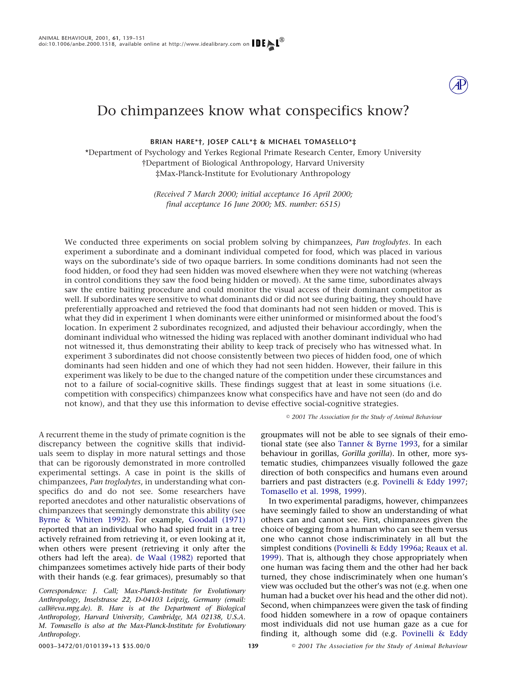# Do chimpanzees know what conspecifics know?

**BRIAN HARE\*†, JOSEP CALL\*‡ & MICHAEL TOMASELLO\*‡**

\*Department of Psychology and Yerkes Regional Primate Research Center, Emory University †Department of Biological Anthropology, Harvard University ‡Max-Planck-Institute for Evolutionary Anthropology

> *(Received 7 March 2000; initial acceptance 16 April 2000; final acceptance 16 June 2000; MS. number: 6515)*

We conducted three experiments on social problem solving by chimpanzees, *Pan troglodytes*. In each experiment a subordinate and a dominant individual competed for food, which was placed in various ways on the subordinate's side of two opaque barriers. In some conditions dominants had not seen the food hidden, or food they had seen hidden was moved elsewhere when they were not watching (whereas in control conditions they saw the food being hidden or moved). At the same time, subordinates always saw the entire baiting procedure and could monitor the visual access of their dominant competitor as well. If subordinates were sensitive to what dominants did or did not see during baiting, they should have preferentially approached and retrieved the food that dominants had not seen hidden or moved. This is what they did in experiment 1 when dominants were either uninformed or misinformed about the food's location. In experiment 2 subordinates recognized, and adjusted their behaviour accordingly, when the dominant individual who witnessed the hiding was replaced with another dominant individual who had not witnessed it, thus demonstrating their ability to keep track of precisely who has witnessed what. In experiment 3 subordinates did not choose consistently between two pieces of hidden food, one of which dominants had seen hidden and one of which they had not seen hidden. However, their failure in this experiment was likely to be due to the changed nature of the competition under these circumstances and not to a failure of social-cognitive skills. These findings suggest that at least in some situations (i.e. competition with conspecifics) chimpanzees know what conspecifics have and have not seen (do and do not know), and that they use this information to devise effective social-cognitive strategies.

A recurrent theme in the study of primate cognition is the discrepancy between the cognitive skills that individuals seem to display in more natural settings and those that can be rigorously demonstrated in more controlled experimental settings. A case in point is the skills of chimpanzees, *Pan troglodytes*, in understanding what conspecifics do and do not see. Some researchers have reported anecdotes and other naturalistic observations of chimpanzees that seemingly demonstrate this ability (see [Byrne & Whiten 1992\)](#page-11-0). For example, [Goodall \(1971\)](#page-11-1) reported that an individual who had spied fruit in a tree actively refrained from retrieving it, or even looking at it, when others were present (retrieving it only after the others had left the area). [de Waal \(1982\)](#page-12-0) reported that chimpanzees sometimes actively hide parts of their body with their hands (e.g. fear grimaces), presumably so that

*Correspondence: J. Call; Max-Planck-Institute for Evolutionary Anthropology, Inselstrasse 22, D-04103 Leipzig, Germany (email: call@eva.mpg.de). B. Hare is at the Department of Biological Anthropology, Harvard University, Cambridge, MA 02138, U.S.A. M. Tomasello is also at the Max-Planck-Institute for Evolutionary Anthropology.*

*2001 The Association for the Study of Animal Behaviour*

groupmates will not be able to see signals of their emotional state (see also [Tanner & Byrne 1993,](#page-11-2) for a similar behaviour in gorillas, *Gorilla gorilla*). In other, more systematic studies, chimpanzees visually followed the gaze direction of both conspecifics and humans even around barriers and past distracters (e.g. [Povinelli & Eddy 1997;](#page-11-3) [Tomasello et al. 1998,](#page-11-4) [1999\)](#page-12-1).

In two experimental paradigms, however, chimpanzees have seemingly failed to show an understanding of what others can and cannot see. First, chimpanzees given the choice of begging from a human who can see them versus one who cannot chose indiscriminately in all but the simplest conditions [\(Povinelli & Eddy 1996a;](#page-11-5) [Reaux et al.](#page-11-6) [1999\)](#page-11-6). That is, although they chose appropriately when one human was facing them and the other had her back turned, they chose indiscriminately when one human's view was occluded but the other's was not (e.g. when one human had a bucket over his head and the other did not). Second, when chimpanzees were given the task of finding food hidden somewhere in a row of opaque containers most individuals did not use human gaze as a cue for finding it, although some did (e.g. [Povinelli & Eddy](#page-11-7)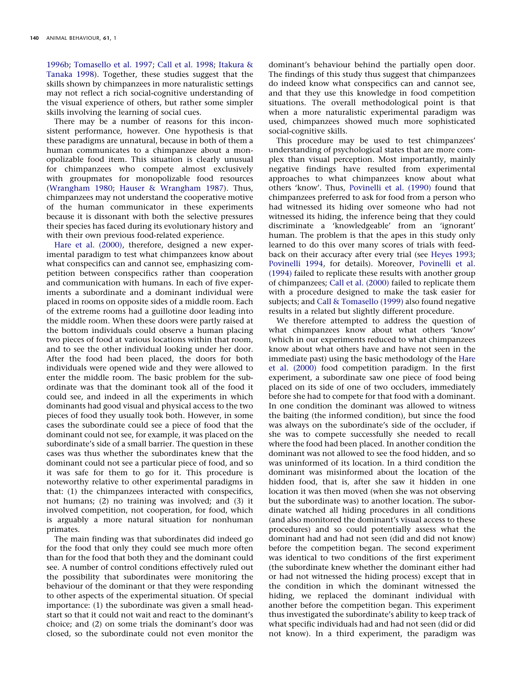[1996b;](#page-11-7) [Tomasello et al. 1997;](#page-11-8) [Call et al. 1998;](#page-11-9) [Itakura &](#page-11-10) [Tanaka 1998\)](#page-11-10). Together, these studies suggest that the skills shown by chimpanzees in more naturalistic settings may not reflect a rich social-cognitive understanding of the visual experience of others, but rather some simpler skills involving the learning of social cues.

There may be a number of reasons for this inconsistent performance, however. One hypothesis is that these paradigms are unnatural, because in both of them a human communicates to a chimpanzee about a monopolizable food item. This situation is clearly unusual for chimpanzees who compete almost exclusively with groupmates for monopolizable food resources [\(Wrangham 1980;](#page-12-2) [Hauser & Wrangham 1987\)](#page-11-11). Thus, chimpanzees may not understand the cooperative motive of the human communicator in these experiments because it is dissonant with both the selective pressures their species has faced during its evolutionary history and with their own previous food-related experience.

[Hare et al. \(2000\),](#page-11-12) therefore, designed a new experimental paradigm to test what chimpanzees know about what conspecifics can and cannot see, emphasizing competition between conspecifics rather than cooperation and communication with humans. In each of five experiments a subordinate and a dominant individual were placed in rooms on opposite sides of a middle room. Each of the extreme rooms had a guillotine door leading into the middle room. When these doors were partly raised at the bottom individuals could observe a human placing two pieces of food at various locations within that room, and to see the other individual looking under her door. After the food had been placed, the doors for both individuals were opened wide and they were allowed to enter the middle room. The basic problem for the subordinate was that the dominant took all of the food it could see, and indeed in all the experiments in which dominants had good visual and physical access to the two pieces of food they usually took both. However, in some cases the subordinate could see a piece of food that the dominant could not see, for example, it was placed on the subordinate's side of a small barrier. The question in these cases was thus whether the subordinates knew that the dominant could not see a particular piece of food, and so it was safe for them to go for it. This procedure is noteworthy relative to other experimental paradigms in that: (1) the chimpanzees interacted with conspecifics, not humans; (2) no training was involved; and (3) it involved competition, not cooperation, for food, which is arguably a more natural situation for nonhuman primates.

The main finding was that subordinates did indeed go for the food that only they could see much more often than for the food that both they and the dominant could see. A number of control conditions effectively ruled out the possibility that subordinates were monitoring the behaviour of the dominant or that they were responding to other aspects of the experimental situation. Of special importance: (1) the subordinate was given a small headstart so that it could not wait and react to the dominant's choice; and (2) on some trials the dominant's door was closed, so the subordinate could not even monitor the

dominant's behaviour behind the partially open door. The findings of this study thus suggest that chimpanzees do indeed know what conspecifics can and cannot see, and that they use this knowledge in food competition situations. The overall methodological point is that when a more naturalistic experimental paradigm was used, chimpanzees showed much more sophisticated social-cognitive skills.

This procedure may be used to test chimpanzees' understanding of psychological states that are more complex than visual perception. Most importantly, mainly negative findings have resulted from experimental approaches to what chimpanzees know about what others 'know'. Thus, [Povinelli et al. \(1990\)](#page-11-13) found that chimpanzees preferred to ask for food from a person who had witnessed its hiding over someone who had not witnessed its hiding, the inference being that they could discriminate a 'knowledgeable' from an 'ignorant' human. The problem is that the apes in this study only learned to do this over many scores of trials with feedback on their accuracy after every trial (see [Heyes 1993;](#page-11-14) [Povinelli 1994,](#page-11-15) for details). Moreover, [Povinelli et al.](#page-11-16) [\(1994\)](#page-11-16) failed to replicate these results with another group of chimpanzees; [Call et al. \(2000\)](#page-11-17) failed to replicate them with a procedure designed to make the task easier for subjects; and [Call & Tomasello \(1999\)](#page-11-18) also found negative results in a related but slightly different procedure.

We therefore attempted to address the question of what chimpanzees know about what others 'know' (which in our experiments reduced to what chimpanzees know about what others have and have not seen in the immediate past) using the basic methodology of the [Hare](#page-11-12) [et al. \(2000\)](#page-11-12) food competition paradigm. In the first experiment, a subordinate saw one piece of food being placed on its side of one of two occluders, immediately before she had to compete for that food with a dominant. In one condition the dominant was allowed to witness the baiting (the informed condition), but since the food was always on the subordinate's side of the occluder, if she was to compete successfully she needed to recall where the food had been placed. In another condition the dominant was not allowed to see the food hidden, and so was uninformed of its location. In a third condition the dominant was misinformed about the location of the hidden food, that is, after she saw it hidden in one location it was then moved (when she was not observing but the subordinate was) to another location. The subordinate watched all hiding procedures in all conditions (and also monitored the dominant's visual access to these procedures) and so could potentially assess what the dominant had and had not seen (did and did not know) before the competition began. The second experiment was identical to two conditions of the first experiment (the subordinate knew whether the dominant either had or had not witnessed the hiding process) except that in the condition in which the dominant witnessed the hiding, we replaced the dominant individual with another before the competition began. This experiment thus investigated the subordinate's ability to keep track of what specific individuals had and had not seen (did or did not know). In a third experiment, the paradigm was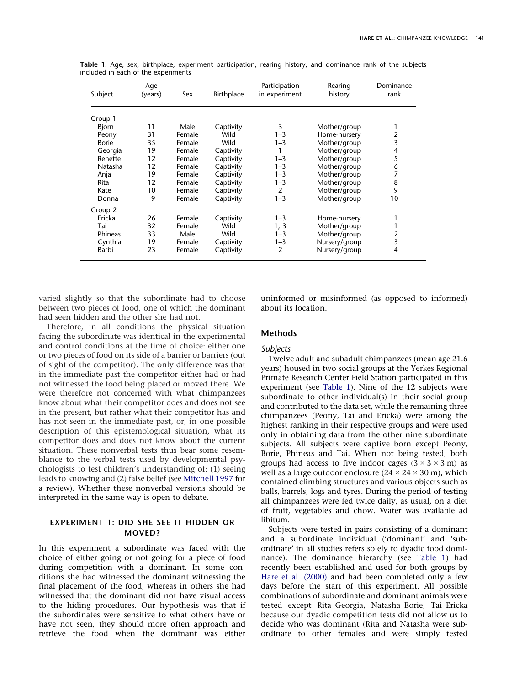| Subject      | Age<br>(years) | Sex    | <b>Birthplace</b> | Participation<br>in experiment | Rearing<br>history | Dominance<br>rank |
|--------------|----------------|--------|-------------------|--------------------------------|--------------------|-------------------|
| Group 1      |                |        |                   |                                |                    |                   |
| <b>Bjorn</b> | 11             | Male   | Captivity         | 3                              | Mother/group       |                   |
| Peony        | 31             | Female | Wild              | $1 - 3$                        | Home-nursery       | 2                 |
| <b>Borie</b> | 35             | Female | Wild              | $1 - 3$                        | Mother/group       | 3                 |
| Georgia      | 19             | Female | Captivity         | 1                              | Mother/group       | 4                 |
| Renette      | 12             | Female | Captivity         | $1 - 3$                        | Mother/group       | 5                 |
| Natasha      | 12             | Female | Captivity         | $1 - 3$                        | Mother/group       | 6                 |
| Anja         | 19             | Female | Captivity         | $1 - 3$                        | Mother/group       | 7                 |
| Rita         | 12             | Female | Captivity         | $1 - 3$                        | Mother/group       | 8                 |
| Kate         | 10             | Female | Captivity         | 2                              | Mother/group       | 9                 |
| Donna        | 9              | Female | Captivity         | $1 - 3$                        | Mother/group       | 10                |
| Group 2      |                |        |                   |                                |                    |                   |
| Ericka       | 26             | Female | Captivity         | $1 - 3$                        | Home-nursery       |                   |
| Tai          | 32             | Female | Wild              | 1, 3                           | Mother/group       | 1                 |
| Phineas      | 33             | Male   | Wild              | $1 - 3$                        | Mother/group       | 2                 |
| Cynthia      | 19             | Female | Captivity         | $1 - 3$                        | Nursery/group      | 3                 |
| Barbi        | 23             | Female | Captivity         | 2                              | Nursery/group      | 4                 |

<span id="page-2-0"></span>**Table 1.** Age, sex, birthplace, experiment participation, rearing history, and dominance rank of the subjects included in each of the experiments

varied slightly so that the subordinate had to choose between two pieces of food, one of which the dominant had seen hidden and the other she had not.

Therefore, in all conditions the physical situation facing the subordinate was identical in the experimental and control conditions at the time of choice: either one or two pieces of food on its side of a barrier or barriers (out of sight of the competitor). The only difference was that in the immediate past the competitor either had or had not witnessed the food being placed or moved there. We were therefore not concerned with what chimpanzees know about what their competitor does and does not see in the present, but rather what their competitor has and has not seen in the immediate past, or, in one possible description of this epistemological situation, what its competitor does and does not know about the current situation. These nonverbal tests thus bear some resemblance to the verbal tests used by developmental psychologists to test children's understanding of: (1) seeing leads to knowing and (2) false belief (see [Mitchell 1997](#page-11-19) for a review). Whether these nonverbal versions should be interpreted in the same way is open to debate.

# **EXPERIMENT 1: DID SHE SEE IT HIDDEN OR MOVED?**

In this experiment a subordinate was faced with the choice of either going or not going for a piece of food during competition with a dominant. In some conditions she had witnessed the dominant witnessing the final placement of the food, whereas in others she had witnessed that the dominant did not have visual access to the hiding procedures. Our hypothesis was that if the subordinates were sensitive to what others have or have not seen, they should more often approach and retrieve the food when the dominant was either uninformed or misinformed (as opposed to informed) about its location.

# **Methods**

#### *Subjects*

Twelve adult and subadult chimpanzees (mean age 21.6 years) housed in two social groups at the Yerkes Regional Primate Research Center Field Station participated in this experiment (see [Table 1\)](#page-2-0). Nine of the 12 subjects were subordinate to other individual(s) in their social group and contributed to the data set, while the remaining three chimpanzees (Peony, Tai and Ericka) were among the highest ranking in their respective groups and were used only in obtaining data from the other nine subordinate subjects. All subjects were captive born except Peony, Borie, Phineas and Tai. When not being tested, both groups had access to five indoor cages  $(3 \times 3 \times 3 \text{ m})$  as well as a large outdoor enclosure  $(24 \times 24 \times 30 \text{ m})$ , which contained climbing structures and various objects such as balls, barrels, logs and tyres. During the period of testing all chimpanzees were fed twice daily, as usual, on a diet of fruit, vegetables and chow. Water was available ad libitum.

Subjects were tested in pairs consisting of a dominant and a subordinate individual ('dominant' and 'subordinate' in all studies refers solely to dyadic food dominance). The dominance hierarchy (see [Table 1\)](#page-2-0) had recently been established and used for both groups by [Hare et al. \(2000\)](#page-11-12) and had been completed only a few days before the start of this experiment. All possible combinations of subordinate and dominant animals were tested except Rita–Georgia, Natasha–Borie, Tai–Ericka because our dyadic competition tests did not allow us to decide who was dominant (Rita and Natasha were subordinate to other females and were simply tested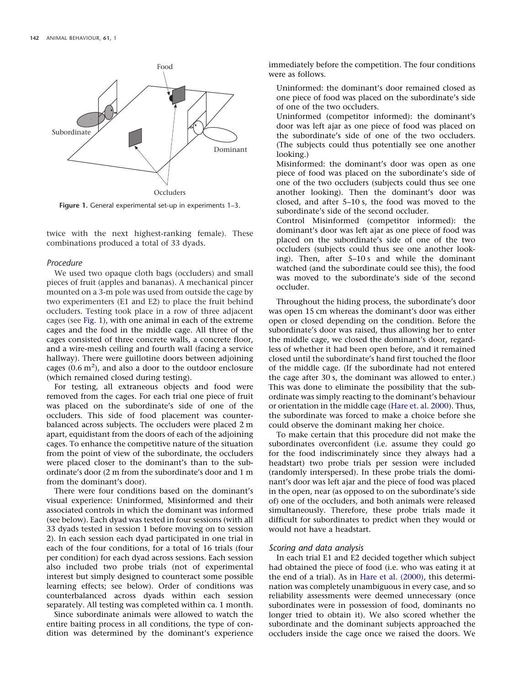<span id="page-3-0"></span>

**Figure 1.** General experimental set-up in experiments 1–3.

twice with the next highest-ranking female). These combinations produced a total of 33 dyads.

#### *Procedure*

We used two opaque cloth bags (occluders) and small pieces of fruit (apples and bananas). A mechanical pincer mounted on a 3-m pole was used from outside the cage by two experimenters (E1 and E2) to place the fruit behind occluders. Testing took place in a row of three adjacent cages (see [Fig. 1\)](#page-3-0), with one animal in each of the extreme cages and the food in the middle cage. All three of the cages consisted of three concrete walls, a concrete floor, and a wire-mesh ceiling and fourth wall (facing a service hallway). There were guillotine doors between adjoining cages  $(0.6 \text{ m}^2)$ , and also a door to the outdoor enclosure (which remained closed during testing).

For testing, all extraneous objects and food were removed from the cages. For each trial one piece of fruit was placed on the subordinate's side of one of the occluders. This side of food placement was counterbalanced across subjects. The occluders were placed 2 m apart, equidistant from the doors of each of the adjoining cages. To enhance the competitive nature of the situation from the point of view of the subordinate, the occluders were placed closer to the dominant's than to the subordinate's door (2 m from the subordinate's door and 1 m from the dominant's door).

There were four conditions based on the dominant's visual experience: Uninformed, Misinformed and their associated controls in which the dominant was informed (see below). Each dyad was tested in four sessions (with all 33 dyads tested in session 1 before moving on to session 2). In each session each dyad participated in one trial in each of the four conditions, for a total of 16 trials (four per condition) for each dyad across sessions. Each session also included two probe trials (not of experimental interest but simply designed to counteract some possible learning effects; see below). Order of conditions was counterbalanced across dyads within each session separately. All testing was completed within ca. 1 month.

Since subordinate animals were allowed to watch the entire baiting process in all conditions, the type of condition was determined by the dominant's experience immediately before the competition. The four conditions were as follows.

Uninformed: the dominant's door remained closed as one piece of food was placed on the subordinate's side of one of the two occluders.

Uninformed (competitor informed): the dominant's door was left ajar as one piece of food was placed on the subordinate's side of one of the two occluders. (The subjects could thus potentially see one another looking.)

Misinformed: the dominant's door was open as one piece of food was placed on the subordinate's side of one of the two occluders (subjects could thus see one another looking). Then the dominant's door was closed, and after 5–10 s, the food was moved to the subordinate's side of the second occluder.

Control Misinformed (competitor informed): the dominant's door was left ajar as one piece of food was placed on the subordinate's side of one of the two occluders (subjects could thus see one another looking). Then, after 5–10 s and while the dominant watched (and the subordinate could see this), the food was moved to the subordinate's side of the second occluder.

Throughout the hiding process, the subordinate's door was open 15 cm whereas the dominant's door was either open or closed depending on the condition. Before the subordinate's door was raised, thus allowing her to enter the middle cage, we closed the dominant's door, regardless of whether it had been open before, and it remained closed until the subordinate's hand first touched the floor of the middle cage. (If the subordinate had not entered the cage after 30 s, the dominant was allowed to enter.) This was done to eliminate the possibility that the subordinate was simply reacting to the dominant's behaviour or orientation in the middle cage [\(Hare et. al. 2000\)](#page-11-12). Thus, the subordinate was forced to make a choice before she could observe the dominant making her choice.

To make certain that this procedure did not make the subordinates overconfident (i.e. assume they could go for the food indiscriminately since they always had a headstart) two probe trials per session were included (randomly interspersed). In these probe trials the dominant's door was left ajar and the piece of food was placed in the open, near (as opposed to on the subordinate's side of) one of the occluders, and both animals were released simultaneously. Therefore, these probe trials made it difficult for subordinates to predict when they would or would not have a headstart.

#### *Scoring and data analysis*

In each trial E1 and E2 decided together which subject had obtained the piece of food (i.e. who was eating it at the end of a trial). As in [Hare et al. \(2000\),](#page-11-12) this determination was completely unambiguous in every case, and so reliability assessments were deemed unnecessary (once subordinates were in possession of food, dominants no longer tried to obtain it). We also scored whether the subordinate and the dominant subjects approached the occluders inside the cage once we raised the doors. We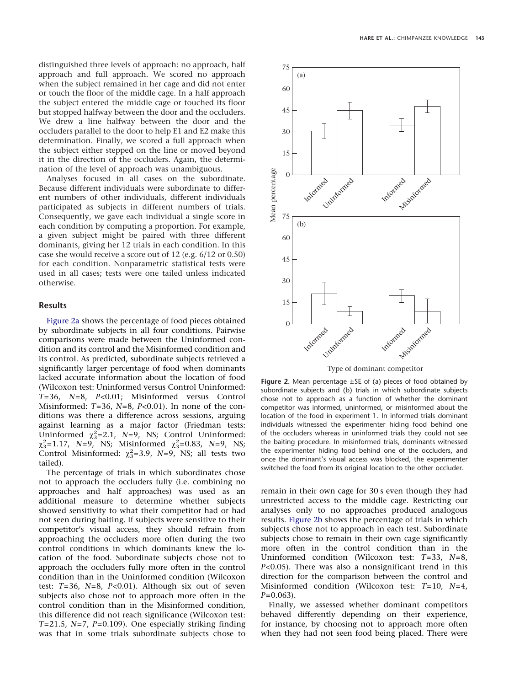distinguished three levels of approach: no approach, half approach and full approach. We scored no approach when the subject remained in her cage and did not enter or touch the floor of the middle cage. In a half approach the subject entered the middle cage or touched its floor but stopped halfway between the door and the occluders. We drew a line halfway between the door and the occluders parallel to the door to help E1 and E2 make this determination. Finally, we scored a full approach when the subject either stepped on the line or moved beyond it in the direction of the occluders. Again, the determination of the level of approach was unambiguous.

Analyses focused in all cases on the subordinate. Because different individuals were subordinate to different numbers of other individuals, different individuals participated as subjects in different numbers of trials. Consequently, we gave each individual a single score in each condition by computing a proportion. For example, a given subject might be paired with three different dominants, giving her 12 trials in each condition. In this case she would receive a score out of 12 (e.g. 6/12 or 0.50) for each condition. Nonparametric statistical tests were used in all cases; tests were one tailed unless indicated otherwise.

#### **Results**

[Figure 2a](#page-4-0) shows the percentage of food pieces obtained by subordinate subjects in all four conditions. Pairwise comparisons were made between the Uninformed condition and its control and the Misinformed condition and its control. As predicted, subordinate subjects retrieved a significantly larger percentage of food when dominants lacked accurate information about the location of food (Wilcoxon test: Uninformed versus Control Uninformed: *T*=36, *N*=8, *P<*0.01; Misinformed versus Control Misinformed: *T*=36, *N*=8, *P<*0.01). In none of the conditions was there a difference across sessions, arguing against learning as a major factor (Friedman tests: Uninformed  $\chi_3^2$ =2.1, *N*=9, *NS*; Control Uninformed:  $\chi_3^2 = 1.17$ , *N*=9, *NS*; Misinformed  $\chi_3^2 = 0.83$ , *N*=9, *NS*; Control Misinformed:  $\chi^2$ =3.9, N=9, NS; all tests two tailed).

The percentage of trials in which subordinates chose not to approach the occluders fully (i.e. combining no approaches and half approaches) was used as an additional measure to determine whether subjects showed sensitivity to what their competitor had or had not seen during baiting. If subjects were sensitive to their competitor's visual access, they should refrain from approaching the occluders more often during the two control conditions in which dominants knew the location of the food. Subordinate subjects chose not to approach the occluders fully more often in the control condition than in the Uninformed condition (Wilcoxon test: *T*=36, *N*=8, *P<*0.01). Although six out of seven subjects also chose not to approach more often in the control condition than in the Misinformed condition, this difference did not reach significance (Wilcoxon test: *T*=21.5, *N*=7, *P*=0.109). One especially striking finding was that in some trials subordinate subjects chose to

<span id="page-4-0"></span>

Type of dominant competitor

**Figure 2.** Mean percentage ±SE of (a) pieces of food obtained by subordinate subjects and (b) trials in which subordinate subjects chose not to approach as a function of whether the dominant competitor was informed, uninformed, or misinformed about the location of the food in experiment 1. In informed trials dominant individuals witnessed the experimenter hiding food behind one of the occluders whereas in uninformed trials they could not see the baiting procedure. In misinformed trials, dominants witnessed the experimenter hiding food behind one of the occluders, and once the dominant's visual access was blocked, the experimenter switched the food from its original location to the other occluder.

remain in their own cage for 30 s even though they had unrestricted access to the middle cage. Restricting our analyses only to no approaches produced analogous results. [Figure 2b](#page-4-0) shows the percentage of trials in which subjects chose not to approach in each test. Subordinate subjects chose to remain in their own cage significantly more often in the control condition than in the Uninformed condition (Wilcoxon test: *T*=33, *N*=8, *P<*0.05). There was also a nonsignificant trend in this direction for the comparison between the control and Misinformed condition (Wilcoxon test: *T*=10, *N*=4, *P*=0.063).

Finally, we assessed whether dominant competitors behaved differently depending on their experience, for instance, by choosing not to approach more often when they had not seen food being placed. There were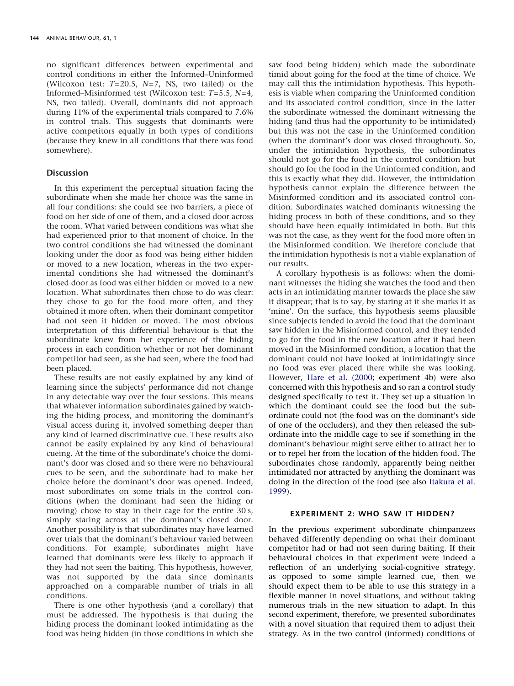no significant differences between experimental and control conditions in either the Informed–Uninformed (Wilcoxon test: *T*=20.5, *N*=7, NS, two tailed) or the Informed–Misinformed test (Wilcoxon test: *T*=5.5, *N*=4, NS, two tailed). Overall, dominants did not approach during 11% of the experimental trials compared to 7.6% in control trials. This suggests that dominants were active competitors equally in both types of conditions (because they knew in all conditions that there was food somewhere).

# **Discussion**

In this experiment the perceptual situation facing the subordinate when she made her choice was the same in all four conditions: she could see two barriers, a piece of food on her side of one of them, and a closed door across the room. What varied between conditions was what she had experienced prior to that moment of choice. In the two control conditions she had witnessed the dominant looking under the door as food was being either hidden or moved to a new location, whereas in the two experimental conditions she had witnessed the dominant's closed door as food was either hidden or moved to a new location. What subordinates then chose to do was clear: they chose to go for the food more often, and they obtained it more often, when their dominant competitor had not seen it hidden or moved. The most obvious interpretation of this differential behaviour is that the subordinate knew from her experience of the hiding process in each condition whether or not her dominant competitor had seen, as she had seen, where the food had been placed.

These results are not easily explained by any kind of learning since the subjects' performance did not change in any detectable way over the four sessions. This means that whatever information subordinates gained by watching the hiding process, and monitoring the dominant's visual access during it, involved something deeper than any kind of learned discriminative cue. These results also cannot be easily explained by any kind of behavioural cueing. At the time of the subordinate's choice the dominant's door was closed and so there were no behavioural cues to be seen, and the subordinate had to make her choice before the dominant's door was opened. Indeed, most subordinates on some trials in the control conditions (when the dominant had seen the hiding or moving) chose to stay in their cage for the entire 30 s, simply staring across at the dominant's closed door. Another possibility is that subordinates may have learned over trials that the dominant's behaviour varied between conditions. For example, subordinates might have learned that dominants were less likely to approach if they had not seen the baiting. This hypothesis, however, was not supported by the data since dominants approached on a comparable number of trials in all conditions.

There is one other hypothesis (and a corollary) that must be addressed. The hypothesis is that during the hiding process the dominant looked intimidating as the food was being hidden (in those conditions in which she saw food being hidden) which made the subordinate timid about going for the food at the time of choice. We may call this the intimidation hypothesis. This hypothesis is viable when comparing the Uninformed condition and its associated control condition, since in the latter the subordinate witnessed the dominant witnessing the hiding (and thus had the opportunity to be intimidated) but this was not the case in the Uninformed condition (when the dominant's door was closed throughout). So, under the intimidation hypothesis, the subordinates should not go for the food in the control condition but should go for the food in the Uninformed condition, and this is exactly what they did. However, the intimidation hypothesis cannot explain the difference between the Misinformed condition and its associated control condition. Subordinates watched dominants witnessing the hiding process in both of these conditions, and so they should have been equally intimidated in both. But this was not the case, as they went for the food more often in the Misinformed condition. We therefore conclude that the intimidation hypothesis is not a viable explanation of our results.

A corollary hypothesis is as follows: when the dominant witnesses the hiding she watches the food and then acts in an intimidating manner towards the place she saw it disappear; that is to say, by staring at it she marks it as 'mine'. On the surface, this hypothesis seems plausible since subjects tended to avoid the food that the dominant saw hidden in the Misinformed control, and they tended to go for the food in the new location after it had been moved in the Misinformed condition, a location that the dominant could not have looked at intimidatingly since no food was ever placed there while she was looking. However, [Hare et al. \(2000;](#page-11-12) experiment 4b) were also concerned with this hypothesis and so ran a control study designed specifically to test it. They set up a situation in which the dominant could see the food but the subordinate could not (the food was on the dominant's side of one of the occluders), and they then released the subordinate into the middle cage to see if something in the dominant's behaviour might serve either to attract her to or to repel her from the location of the hidden food. The subordinates chose randomly, apparently being neither intimidated nor attracted by anything the dominant was doing in the direction of the food (see also [Itakura et al.](#page-11-20) [1999\)](#page-11-20).

# **EXPERIMENT 2: WHO SAW IT HIDDEN?**

In the previous experiment subordinate chimpanzees behaved differently depending on what their dominant competitor had or had not seen during baiting. If their behavioural choices in that experiment were indeed a reflection of an underlying social-cognitive strategy, as opposed to some simple learned cue, then we should expect them to be able to use this strategy in a flexible manner in novel situations, and without taking numerous trials in the new situation to adapt. In this second experiment, therefore, we presented subordinates with a novel situation that required them to adjust their strategy. As in the two control (informed) conditions of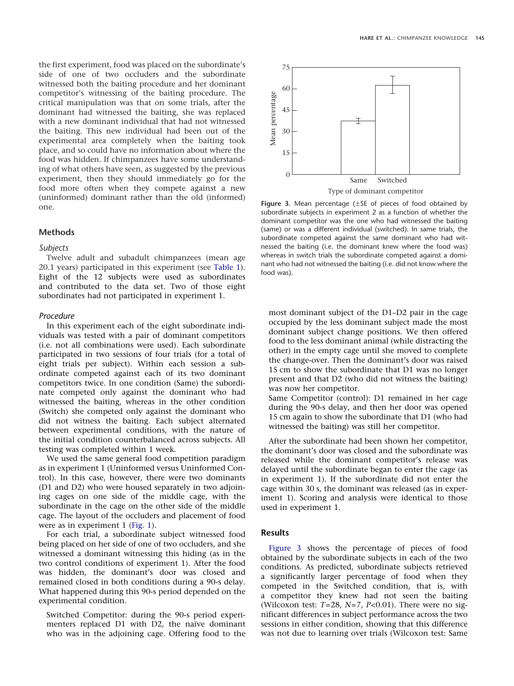the first experiment, food was placed on the subordinate's side of one of two occluders and the subordinate witnessed both the baiting procedure and her dominant competitor's witnessing of the baiting procedure. The critical manipulation was that on some trials, after the dominant had witnessed the baiting, she was replaced with a new dominant individual that had not witnessed the baiting. This new individual had been out of the experimental area completely when the baiting took place, and so could have no information about where the food was hidden. If chimpanzees have some understanding of what others have seen, as suggested by the previous experiment, then they should immediately go for the food more often when they compete against a new (uninformed) dominant rather than the old (informed) one.

# **Methods**

#### *Subjects*

Twelve adult and subadult chimpanzees (mean age 20.1 years) participated in this experiment (see [Table 1\)](#page-2-0). Eight of the 12 subjects were used as subordinates and contributed to the data set. Two of those eight subordinates had not participated in experiment 1.

#### *Procedure*

In this experiment each of the eight subordinate individuals was tested with a pair of dominant competitors (i.e. not all combinations were used). Each subordinate participated in two sessions of four trials (for a total of eight trials per subject). Within each session a subordinate competed against each of its two dominant competitors twice. In one condition (Same) the subordinate competed only against the dominant who had witnessed the baiting, whereas in the other condition (Switch) she competed only against the dominant who did not witness the baiting. Each subject alternated between experimental conditions, with the nature of the initial condition counterbalanced across subjects. All testing was completed within 1 week.

We used the same general food competition paradigm as in experiment 1 (Uninformed versus Uninformed Control). In this case, however, there were two dominants (D1 and D2) who were housed separately in two adjoining cages on one side of the middle cage, with the subordinate in the cage on the other side of the middle cage. The layout of the occluders and placement of food were as in experiment 1 [\(Fig. 1\)](#page-3-0).

For each trial, a subordinate subject witnessed food being placed on her side of one of two occluders, and she witnessed a dominant witnessing this hiding (as in the two control conditions of experiment 1). After the food was hidden, the dominant's door was closed and remained closed in both conditions during a 90-s delay. What happened during this 90-s period depended on the experimental condition.

Switched Competitor: during the 90-s period experimenters replaced D1 with D2, the naïve dominant who was in the adjoining cage. Offering food to the

<span id="page-6-0"></span>

**Figure 3.** Mean percentage (±SE of pieces of food obtained by subordinate subjects in experiment 2 as a function of whether the dominant competitor was the one who had witnessed the baiting (same) or was a different individual (switched). In same trials, the subordinate competed against the same dominant who had witnessed the baiting (i.e. the dominant knew where the food was) whereas in switch trials the subordinate competed against a dominant who had not witnessed the baiting (i.e. did not know where the food was).

most dominant subject of the D1–D2 pair in the cage occupied by the less dominant subject made the most dominant subject change positions. We then offered food to the less dominant animal (while distracting the other) in the empty cage until she moved to complete the change-over. Then the dominant's door was raised 15 cm to show the subordinate that D1 was no longer present and that D2 (who did not witness the baiting) was now her competitor.

Same Competitor (control): D1 remained in her cage during the 90-s delay, and then her door was opened 15 cm again to show the subordinate that D1 (who had witnessed the baiting) was still her competitor.

After the subordinate had been shown her competitor, the dominant's door was closed and the subordinate was released while the dominant competitor's release was delayed until the subordinate began to enter the cage (as in experiment 1). If the subordinate did not enter the cage within 30 s, the dominant was released (as in experiment 1). Scoring and analysis were identical to those used in experiment 1.

#### **Results**

[Figure 3](#page-6-0) shows the percentage of pieces of food obtained by the subordinate subjects in each of the two conditions. As predicted, subordinate subjects retrieved a significantly larger percentage of food when they competed in the Switched condition, that is, with a competitor they knew had not seen the baiting (Wilcoxon test: *T*=28, *N*=7, *P<*0.01). There were no significant differences in subject performance across the two sessions in either condition, showing that this difference was not due to learning over trials (Wilcoxon test: Same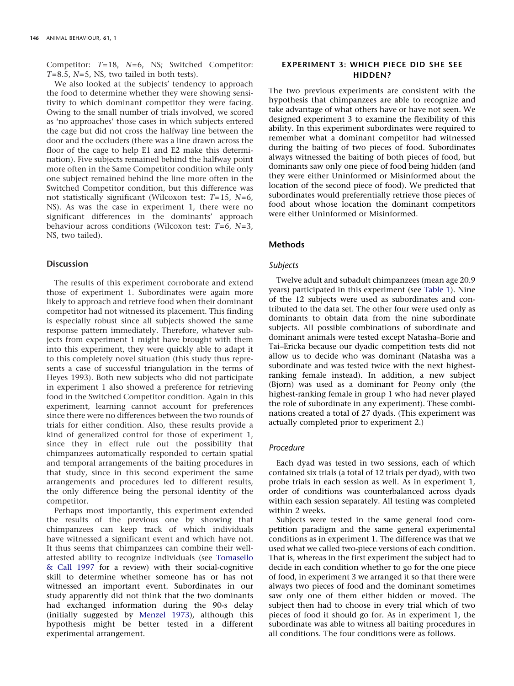Competitor: *T*=18, *N*=6, NS; Switched Competitor: *T*=8.5, *N*=5, NS, two tailed in both tests).

We also looked at the subjects' tendency to approach the food to determine whether they were showing sensitivity to which dominant competitor they were facing. Owing to the small number of trials involved, we scored as 'no approaches' those cases in which subjects entered the cage but did not cross the halfway line between the door and the occluders (there was a line drawn across the floor of the cage to help E1 and E2 make this determination). Five subjects remained behind the halfway point more often in the Same Competitor condition while only one subject remained behind the line more often in the Switched Competitor condition, but this difference was not statistically significant (Wilcoxon test: *T*=15, *N*=6, NS). As was the case in experiment 1, there were no significant differences in the dominants' approach behaviour across conditions (Wilcoxon test: *T*=6, *N*=3, NS, two tailed).

# **Discussion**

The results of this experiment corroborate and extend those of experiment 1. Subordinates were again more likely to approach and retrieve food when their dominant competitor had not witnessed its placement. This finding is especially robust since all subjects showed the same response pattern immediately. Therefore, whatever subjects from experiment 1 might have brought with them into this experiment, they were quickly able to adapt it to this completely novel situation (this study thus represents a case of successful triangulation in the terms of Heyes 1993). Both new subjects who did not participate in experiment 1 also showed a preference for retrieving food in the Switched Competitor condition. Again in this experiment, learning cannot account for preferences since there were no differences between the two rounds of trials for either condition. Also, these results provide a kind of generalized control for those of experiment 1, since they in effect rule out the possibility that chimpanzees automatically responded to certain spatial and temporal arrangements of the baiting procedures in that study, since in this second experiment the same arrangements and procedures led to different results, the only difference being the personal identity of the competitor.

Perhaps most importantly, this experiment extended the results of the previous one by showing that chimpanzees can keep track of which individuals have witnessed a significant event and which have not. It thus seems that chimpanzees can combine their wellattested ability to recognize individuals (see [Tomasello](#page-11-21) [& Call 1997](#page-11-21) for a review) with their social-cognitive skill to determine whether someone has or has not witnessed an important event. Subordinates in our study apparently did not think that the two dominants had exchanged information during the 90-s delay (initially suggested by [Menzel 1973\)](#page-11-22), although this hypothesis might be better tested in a different experimental arrangement.

# **EXPERIMENT 3: WHICH PIECE DID SHE SEE HIDDEN?**

The two previous experiments are consistent with the hypothesis that chimpanzees are able to recognize and take advantage of what others have or have not seen. We designed experiment 3 to examine the flexibility of this ability. In this experiment subordinates were required to remember what a dominant competitor had witnessed during the baiting of two pieces of food. Subordinates always witnessed the baiting of both pieces of food, but dominants saw only one piece of food being hidden (and they were either Uninformed or Misinformed about the location of the second piece of food). We predicted that subordinates would preferentially retrieve those pieces of food about whose location the dominant competitors were either Uninformed or Misinformed.

#### **Methods**

## *Subjects*

Twelve adult and subadult chimpanzees (mean age 20.9 years) participated in this experiment (see [Table 1\)](#page-2-0). Nine of the 12 subjects were used as subordinates and contributed to the data set. The other four were used only as dominants to obtain data from the nine subordinate subjects. All possible combinations of subordinate and dominant animals were tested except Natasha–Borie and Tai–Ericka because our dyadic competition tests did not allow us to decide who was dominant (Natasha was a subordinate and was tested twice with the next highestranking female instead). In addition, a new subject (Bjorn) was used as a dominant for Peony only (the highest-ranking female in group 1 who had never played the role of subordinate in any experiment). These combinations created a total of 27 dyads. (This experiment was actually completed prior to experiment 2.)

#### *Procedure*

Each dyad was tested in two sessions, each of which contained six trials (a total of 12 trials per dyad), with two probe trials in each session as well. As in experiment 1, order of conditions was counterbalanced across dyads within each session separately. All testing was completed within 2 weeks.

Subjects were tested in the same general food competition paradigm and the same general experimental conditions as in experiment 1. The difference was that we used what we called two-piece versions of each condition. That is, whereas in the first experiment the subject had to decide in each condition whether to go for the one piece of food, in experiment 3 we arranged it so that there were always two pieces of food and the dominant sometimes saw only one of them either hidden or moved. The subject then had to choose in every trial which of two pieces of food it should go for. As in experiment 1, the subordinate was able to witness all baiting procedures in all conditions. The four conditions were as follows.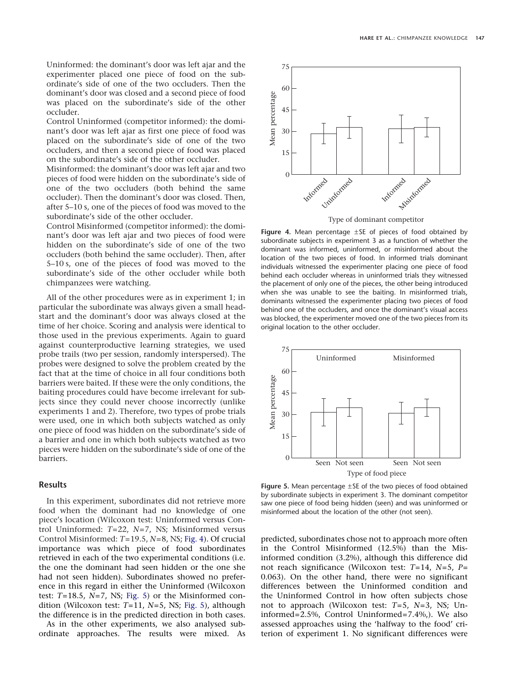Uninformed: the dominant's door was left ajar and the experimenter placed one piece of food on the subordinate's side of one of the two occluders. Then the dominant's door was closed and a second piece of food was placed on the subordinate's side of the other occluder.

Control Uninformed (competitor informed): the dominant's door was left ajar as first one piece of food was placed on the subordinate's side of one of the two occluders, and then a second piece of food was placed on the subordinate's side of the other occluder.

Misinformed: the dominant's door was left ajar and two pieces of food were hidden on the subordinate's side of one of the two occluders (both behind the same occluder). Then the dominant's door was closed. Then, after 5–10 s, one of the pieces of food was moved to the subordinate's side of the other occluder.

Control Misinformed (competitor informed): the dominant's door was left ajar and two pieces of food were hidden on the subordinate's side of one of the two occluders (both behind the same occluder). Then, after 5–10 s, one of the pieces of food was moved to the subordinate's side of the other occluder while both chimpanzees were watching.

All of the other procedures were as in experiment 1; in particular the subordinate was always given a small headstart and the dominant's door was always closed at the time of her choice. Scoring and analysis were identical to those used in the previous experiments. Again to guard against counterproductive learning strategies, we used probe trails (two per session, randomly interspersed). The probes were designed to solve the problem created by the fact that at the time of choice in all four conditions both barriers were baited. If these were the only conditions, the baiting procedures could have become irrelevant for subjects since they could never choose incorrectly (unlike experiments 1 and 2). Therefore, two types of probe trials were used, one in which both subjects watched as only one piece of food was hidden on the subordinate's side of a barrier and one in which both subjects watched as two pieces were hidden on the subordinate's side of one of the barriers.

#### **Results**

In this experiment, subordinates did not retrieve more food when the dominant had no knowledge of one piece's location (Wilcoxon test: Uninformed versus Control Uninformed: *T*=22, *N*=7, NS; Misinformed versus Control Misinformed: *T*=19.5, *N*=8, NS; [Fig. 4\)](#page-8-0). Of crucial importance was which piece of food subordinates retrieved in each of the two experimental conditions (i.e. the one the dominant had seen hidden or the one she had not seen hidden). Subordinates showed no preference in this regard in either the Uninformed (Wilcoxon test: *T*=18.5, *N*=7, NS; [Fig. 5\)](#page-8-1) or the Misinformed condition (Wilcoxon test: *T*=11, *N*=5, NS; [Fig. 5\)](#page-8-1), although the difference is in the predicted direction in both cases.

As in the other experiments, we also analysed subordinate approaches. The results were mixed. As

<span id="page-8-0"></span>

Type of dominant competitor

**Figure 4.** Mean percentage ±SE of pieces of food obtained by subordinate subjects in experiment 3 as a function of whether the dominant was informed, uninformed, or misinformed about the location of the two pieces of food. In informed trials dominant individuals witnessed the experimenter placing one piece of food behind each occluder whereas in uninformed trials they witnessed the placement of only one of the pieces, the other being introduced when she was unable to see the baiting. In misinformed trials, dominants witnessed the experimenter placing two pieces of food behind one of the occluders, and once the dominant's visual access was blocked, the experimenter moved one of the two pieces from its original location to the other occluder.

<span id="page-8-1"></span>

**Figure 5.** Mean percentage ±SE of the two pieces of food obtained by subordinate subjects in experiment 3. The dominant competitor saw one piece of food being hidden (seen) and was uninformed or misinformed about the location of the other (not seen).

predicted, subordinates chose not to approach more often in the Control Misinformed (12.5%) than the Misinformed condition (3.2%), although this difference did not reach significance (Wilcoxon test: *T*=14, *N*=5, *P*= 0.063). On the other hand, there were no significant differences between the Uninformed condition and the Uninformed Control in how often subjects chose not to approach (Wilcoxon test: *T*=5, *N*=3, NS; Uninformed=2.5%, Control Uninformed=7.4%,). We also assessed approaches using the 'halfway to the food' criterion of experiment 1. No significant differences were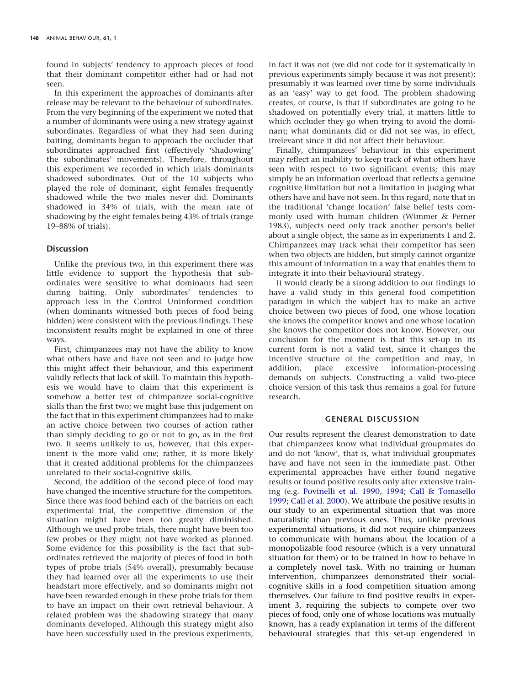found in subjects' tendency to approach pieces of food that their dominant competitor either had or had not seen.

In this experiment the approaches of dominants after release may be relevant to the behaviour of subordinates. From the very beginning of the experiment we noted that a number of dominants were using a new strategy against subordinates. Regardless of what they had seen during baiting, dominants began to approach the occluder that subordinates approached first (effectively 'shadowing' the subordinates' movements). Therefore, throughout this experiment we recorded in which trials dominants shadowed subordinates. Out of the 10 subjects who played the role of dominant, eight females frequently shadowed while the two males never did. Dominants shadowed in 34% of trials, with the mean rate of shadowing by the eight females being 43% of trials (range 19–88% of trials).

#### **Discussion**

Unlike the previous two, in this experiment there was little evidence to support the hypothesis that subordinates were sensitive to what dominants had seen during baiting. Only subordinates' tendencies to approach less in the Control Uninformed condition (when dominants witnessed both pieces of food being hidden) were consistent with the previous findings. These inconsistent results might be explained in one of three ways.

First, chimpanzees may not have the ability to know what others have and have not seen and to judge how this might affect their behaviour, and this experiment validly reflects that lack of skill. To maintain this hypothesis we would have to claim that this experiment is somehow a better test of chimpanzee social-cognitive skills than the first two; we might base this judgement on the fact that in this experiment chimpanzees had to make an active choice between two courses of action rather than simply deciding to go or not to go, as in the first two. It seems unlikely to us, however, that this experiment is the more valid one; rather, it is more likely that it created additional problems for the chimpanzees unrelated to their social-cognitive skills.

Second, the addition of the second piece of food may have changed the incentive structure for the competitors. Since there was food behind each of the barriers on each experimental trial, the competitive dimension of the situation might have been too greatly diminished. Although we used probe trials, there might have been too few probes or they might not have worked as planned. Some evidence for this possibility is the fact that subordinates retrieved the majority of pieces of food in both types of probe trials (54% overall), presumably because they had learned over all the experiments to use their headstart more effectively, and so dominants might not have been rewarded enough in these probe trials for them to have an impact on their own retrieval behaviour. A related problem was the shadowing strategy that many dominants developed. Although this strategy might also have been successfully used in the previous experiments, in fact it was not (we did not code for it systematically in previous experiments simply because it was not present); presumably it was learned over time by some individuals as an 'easy' way to get food. The problem shadowing creates, of course, is that if subordinates are going to be shadowed on potentially every trial, it matters little to which occluder they go when trying to avoid the dominant; what dominants did or did not see was, in effect, irrelevant since it did not affect their behaviour.

Finally, chimpanzees' behaviour in this experiment may reflect an inability to keep track of what others have seen with respect to two significant events; this may simply be an information overload that reflects a genuine cognitive limitation but not a limitation in judging what others have and have not seen. In this regard, note that in the traditional 'change location' false belief tests commonly used with human children (Wimmer & Perner 1983), subjects need only track another person's belief about a single object, the same as in experiments 1 and 2. Chimpanzees may track what their competitor has seen when two objects are hidden, but simply cannot organize this amount of information in a way that enables them to integrate it into their behavioural strategy.

It would clearly be a strong addition to our findings to have a valid study in this general food competition paradigm in which the subject has to make an active choice between two pieces of food, one whose location she knows the competitor knows and one whose location she knows the competitor does not know. However, our conclusion for the moment is that this set-up in its current form is not a valid test, since it changes the incentive structure of the competition and may, in addition, place excessive information-processing demands on subjects. Constructing a valid two-piece choice version of this task thus remains a goal for future research.

# **GENERAL DISCUSSION**

Our results represent the clearest demonstration to date that chimpanzees know what individual groupmates do and do not 'know', that is, what individual groupmates have and have not seen in the immediate past. Other experimental approaches have either found negative results or found positive results only after extensive training (e.g. [Povinelli et al. 1990,](#page-11-13) [1994;](#page-11-16) [Call & Tomasello](#page-11-18) [1999;](#page-11-18) [Call et al. 2000\)](#page-11-17). We attribute the positive results in our study to an experimental situation that was more naturalistic than previous ones. Thus, unlike previous experimental situations, it did not require chimpanzees to communicate with humans about the location of a monopolizable food resource (which is a very unnatural situation for them) or to be trained in how to behave in a completely novel task. With no training or human intervention, chimpanzees demonstrated their socialcognitive skills in a food competition situation among themselves. Our failure to find positive results in experiment 3, requiring the subjects to compete over two pieces of food, only one of whose locations was mutually known, has a ready explanation in terms of the different behavioural strategies that this set-up engendered in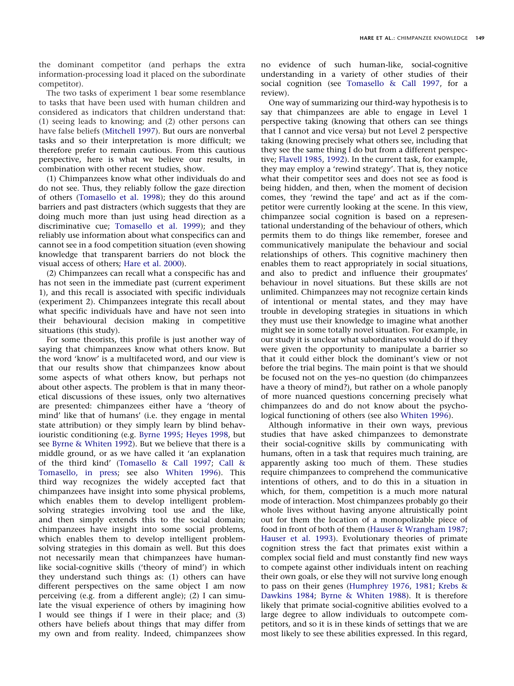the dominant competitor (and perhaps the extra information-processing load it placed on the subordinate competitor).

The two tasks of experiment 1 bear some resemblance to tasks that have been used with human children and considered as indicators that children understand that: (1) seeing leads to knowing; and (2) other persons can have false beliefs [\(Mitchell 1997\)](#page-11-19). But ours are nonverbal tasks and so their interpretation is more difficult; we therefore prefer to remain cautious. From this cautious perspective, here is what we believe our results, in combination with other recent studies, show.

(1) Chimpanzees know what other individuals do and do not see. Thus, they reliably follow the gaze direction of others [\(Tomasello et al. 1998\)](#page-11-0); they do this around barriers and past distracters (which suggests that they are doing much more than just using head direction as a discriminative cue; [Tomasello et al. 1999\)](#page-12-1); and they reliably use information about what conspecifics can and cannot see in a food competition situation (even showing knowledge that transparent barriers do not block the visual access of others; [Hare et al. 2000\)](#page-11-12).

(2) Chimpanzees can recall what a conspecific has and has not seen in the immediate past (current experiment 1), and this recall is associated with specific individuals (experiment 2). Chimpanzees integrate this recall about what specific individuals have and have not seen into their behavioural decision making in competitive situations (this study).

For some theorists, this profile is just another way of saying that chimpanzees know what others know. But the word 'know' is a multifaceted word, and our view is that our results show that chimpanzees know about some aspects of what others know, but perhaps not about other aspects. The problem is that in many theoretical discussions of these issues, only two alternatives are presented: chimpanzees either have a 'theory of mind' like that of humans' (i.e. they engage in mental state attribution) or they simply learn by blind behaviouristic conditioning (e.g. [Byrne 1995;](#page-11-23) [Heyes 1998,](#page-11-24) but see [Byrne & Whiten 1992\)](#page-11-0). But we believe that there is a middle ground, or as we have called it 'an explanation of the third kind' [\(Tomasello & Call 1997;](#page-11-21) [Call &](#page-11-25) [Tomasello, in press;](#page-11-25) see also [Whiten 1996\)](#page-12-3). This third way recognizes the widely accepted fact that chimpanzees have insight into some physical problems, which enables them to develop intelligent problemsolving strategies involving tool use and the like, and then simply extends this to the social domain; chimpanzees have insight into some social problems, which enables them to develop intelligent problemsolving strategies in this domain as well. But this does not necessarily mean that chimpanzees have humanlike social-cognitive skills ('theory of mind') in which they understand such things as: (1) others can have different perspectives on the same object I am now perceiving (e.g. from a different angle); (2) I can simulate the visual experience of others by imagining how I would see things if I were in their place; and (3) others have beliefs about things that may differ from my own and from reality. Indeed, chimpanzees show

no evidence of such human-like, social-cognitive understanding in a variety of other studies of their social cognition (see [Tomasello & Call 1997,](#page-11-21) for a review).

One way of summarizing our third-way hypothesis is to say that chimpanzees are able to engage in Level 1 perspective taking (knowing that others can see things that I cannot and vice versa) but not Level 2 perspective taking (knowing precisely what others see, including that they see the same thing I do but from a different perspective; [Flavell 1985,](#page-11-26) [1992\)](#page-11-27). In the current task, for example, they may employ a 'rewind strategy'. That is, they notice what their competitor sees and does not see as food is being hidden, and then, when the moment of decision comes, they 'rewind the tape' and act as if the competitor were currently looking at the scene. In this view, chimpanzee social cognition is based on a representational understanding of the behaviour of others, which permits them to do things like remember, foresee and communicatively manipulate the behaviour and social relationships of others. This cognitive machinery then enables them to react appropriately in social situations, and also to predict and influence their groupmates' behaviour in novel situations. But these skills are not unlimited. Chimpanzees may not recognize certain kinds of intentional or mental states, and they may have trouble in developing strategies in situations in which they must use their knowledge to imagine what another might see in some totally novel situation. For example, in our study it is unclear what subordinates would do if they were given the opportunity to manipulate a barrier so that it could either block the dominant's view or not before the trial begins. The main point is that we should be focused not on the yes–no question (do chimpanzees have a theory of mind?), but rather on a whole panoply of more nuanced questions concerning precisely what chimpanzees do and do not know about the psychological functioning of others (see also [Whiten 1996\)](#page-12-3).

Although informative in their own ways, previous studies that have asked chimpanzees to demonstrate their social-cognitive skills by communicating with humans, often in a task that requires much training, are apparently asking too much of them. These studies require chimpanzees to comprehend the communicative intentions of others, and to do this in a situation in which, for them, competition is a much more natural mode of interaction. Most chimpanzees probably go their whole lives without having anyone altruistically point out for them the location of a monopolizable piece of food in front of both of them [\(Hauser & Wrangham 1987;](#page-11-11) [Hauser et al. 1993\)](#page-11-28). Evolutionary theories of primate cognition stress the fact that primates exist within a complex social field and must constantly find new ways to compete against other individuals intent on reaching their own goals, or else they will not survive long enough to pass on their genes [\(Humphrey 1976,](#page-11-29) [1981;](#page-11-30) [Krebs &](#page-11-31) [Dawkins 1984;](#page-11-31) [Byrne & Whiten 1988\)](#page-11-32). It is therefore likely that primate social-cognitive abilities evolved to a large degree to allow individuals to outcompete competitors, and so it is in these kinds of settings that we are most likely to see these abilities expressed. In this regard,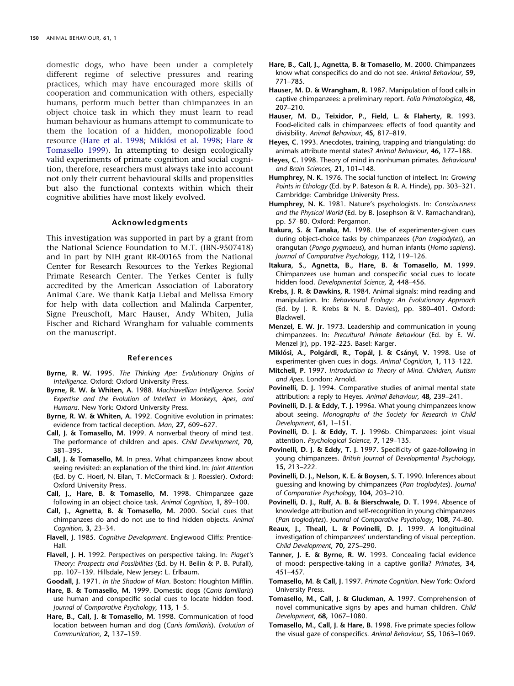domestic dogs, who have been under a completely different regime of selective pressures and rearing practices, which may have encouraged more skills of cooperation and communication with others, especially humans, perform much better than chimpanzees in an object choice task in which they must learn to read human behaviour as humans attempt to communicate to them the location of a hidden, monopolizable food resource [\(Hare et al. 1998;](#page-11-33) Mikló[si et al. 1998;](#page-11-34) [Hare &](#page-11-35) [Tomasello 1999\)](#page-11-35). In attempting to design ecologically valid experiments of primate cognition and social cognition, therefore, researchers must always take into account not only their current behavioural skills and propensities but also the functional contexts within which their cognitive abilities have most likely evolved.

#### **Acknowledgments**

This investigation was supported in part by a grant from the National Science Foundation to M.T. (IBN-9507418) and in part by NIH grant RR-00165 from the National Center for Research Resources to the Yerkes Regional Primate Research Center. The Yerkes Center is fully accredited by the American Association of Laboratory Animal Care. We thank Katja Liebal and Melissa Emory for help with data collection and Malinda Carpenter, Signe Preuschoft, Marc Hauser, Andy Whiten, Julia Fischer and Richard Wrangham for valuable comments on the manuscript.

#### **References**

- <span id="page-11-23"></span>**Byrne, R. W.** 1995. *The Thinking Ape: Evolutionary Origins of Intelligence*. Oxford: Oxford University Press.
- <span id="page-11-32"></span>**Byrne, R. W. & Whiten, A.** 1988. *Machiavellian Intelligence. Social Expertise and the Evolution of Intellect in Monkeys, Apes, and Humans*. New York: Oxford University Press.
- <span id="page-11-0"></span>**Byrne, R. W. & Whiten, A.** 1992. Cognitive evolution in primates: evidence from tactical deception. *Man*, **27,** 609–627.
- <span id="page-11-18"></span>**Call, J. & Tomasello, M.** 1999. A nonverbal theory of mind test. The performance of children and apes. *Child Development*, **70,** 381–395.
- <span id="page-11-25"></span>**Call, J. & Tomasello, M.** In press. What chimpanzees know about seeing revisited: an explanation of the third kind. In: *Joint Attention* (Ed. by C. Hoerl, N. Eilan, T. McCormack & J. Roessler). Oxford: Oxford University Press.
- <span id="page-11-9"></span>**Call, J., Hare, B. & Tomasello, M.** 1998. Chimpanzee gaze following in an object choice task. *Animal Cognition*, **1,** 89–100.
- <span id="page-11-17"></span>**Call, J., Agnetta, B. & Tomasello, M.** 2000. Social cues that chimpanzees do and do not use to find hidden objects. *Animal Cognition*, **3,** 23–34.
- <span id="page-11-26"></span>**Flavell, J.** 1985. *Cognitive Development*. Englewood Cliffs: Prentice-Hall.
- <span id="page-11-27"></span>**Flavell, J. H.** 1992. Perspectives on perspective taking. In: *Piaget's Theory: Prospects and Possibilities* (Ed. by H. Beilin & P. B. Pufall), pp. 107–139. Hillsdale, New Jersey: L. Erlbaum.
- <span id="page-11-1"></span>**Goodall, J.** 1971. *In the Shadow of Man*. Boston: Houghton Mifflin.
- <span id="page-11-35"></span>**Hare, B. & Tomasello, M.** 1999. Domestic dogs (*Canis familiaris*) use human and conspecific social cues to locate hidden food. *Journal of Comparative Psychology*, **113,** 1–5.
- <span id="page-11-33"></span>**Hare, B., Call, J. & Tomasello, M.** 1998. Communication of food location between human and dog (*Canis familiaris*). *Evolution of Communication*, **2,** 137–159.
- <span id="page-11-12"></span>**Hare, B., Call, J., Agnetta, B. & Tomasello, M.** 2000. Chimpanzees know what conspecifics do and do not see. *Animal Behaviour*, **59,** 771–785.
- <span id="page-11-11"></span>**Hauser, M. D. & Wrangham, R.** 1987. Manipulation of food calls in captive chimpanzees: a preliminary report. *Folia Primatologica*, **48,** 207–210.
- <span id="page-11-28"></span>**Hauser, M. D., Teixidor, P., Field, L. & Flaherty, R.** 1993. Food-elicited calls in chimpanzees: effects of food quantity and divisibility. *Animal Behaviour*, **45,** 817–819.
- <span id="page-11-14"></span>**Heyes, C.** 1993. Anecdotes, training, trapping and triangulating: do animals attribute mental states? *Animal Behaviour*, **46,** 177–188.
- <span id="page-11-24"></span>**Heyes, C.** 1998. Theory of mind in nonhuman primates. *Behavioural and Brain Sciences*, **21,** 101–148.
- <span id="page-11-29"></span>**Humphrey, N. K.** 1976. The social function of intellect. In: *Growing Points in Ethology* (Ed. by P. Bateson & R. A. Hinde), pp. 303–321. Cambridge: Cambridge University Press.
- <span id="page-11-30"></span>**Humphrey, N. K.** 1981. Nature's psychologists. In: *Consciousness and the Physical World* (Ed. by B. Josephson & V. Ramachandran), pp. 57–80. Oxford: Pergamon.
- <span id="page-11-10"></span>**Itakura, S. & Tanaka, M.** 1998. Use of experimenter-given cues during object-choice tasks by chimpanzees (*Pan troglodytes*), an orangutan (*Pongo pygmaeus*), and human infants (*Homo sapiens*). *Journal of Comparative Psychology*, **112,** 119–126.
- <span id="page-11-20"></span>**Itakura, S., Agnetta, B., Hare, B. & Tomasello, M.** 1999. Chimpanzees use human and conspecific social cues to locate hidden food. *Developmental Science*, **2,** 448–456.
- <span id="page-11-31"></span>**Krebs, J. R. & Dawkins, R.** 1984. Animal signals: mind reading and manipulation. In: *Behavioural Ecology: An Evolutionary Approach* (Ed. by J. R. Krebs & N. B. Davies), pp. 380–401. Oxford: Blackwell.
- <span id="page-11-22"></span>**Menzel, E. W. Jr.** 1973. Leadership and communication in young chimpanzees. In: *Precultural Primate Behaviour* (Ed. by E. W. Menzel Jr), pp. 192–225. Basel: Karger.
- <span id="page-11-34"></span>**Miklo´ si, A., Polga´rdi, R., Topa´l, J. & Csa´nyi, V.** 1998. Use of experimenter-given cues in dogs. *Animal Cognition*, **1,** 113–122.
- <span id="page-11-19"></span>**Mitchell, P.** 1997. *Introduction to Theory of Mind. Children, Autism and Apes*. London: Arnold.
- <span id="page-11-15"></span>**Povinelli, D. J.** 1994. Comparative studies of animal mental state attribution: a reply to Heyes. *Animal Behaviour*, **48,** 239–241.
- <span id="page-11-5"></span>**Povinelli, D. J. & Eddy, T. J.** 1996a. What young chimpanzees know about seeing. *Monographs of the Society for Research in Child Development*, **61,** 1–151.
- <span id="page-11-7"></span>**Povinelli, D. J. & Eddy, T. J.** 1996b. Chimpanzees: joint visual attention. *Psychological Science*, **7,** 129–135.
- <span id="page-11-3"></span>**Povinelli, D. J. & Eddy, T. J.** 1997. Specificity of gaze-following in young chimpanzees. *British Journal of Developmental Psychology*, **15,** 213–222.
- <span id="page-11-13"></span>**Povinelli, D. J., Nelson, K. E. & Boysen, S. T.** 1990. Inferences about guessing and knowing by chimpanzees (*Pan troglodytes*). *Journal of Comparative Psychology*, **104,** 203–210.
- <span id="page-11-16"></span>**Povinelli, D. J., Rulf, A. B. & Bierschwale, D. T.** 1994. Absence of knowledge attribution and self-recognition in young chimpanzees (*Pan troglodytes*). *Journal of Comparative Psychology*, **108,** 74–80.
- <span id="page-11-6"></span>**Reaux, J., Theall, L. & Povinelli, D. J.** 1999. A longitudinal investigation of chimpanzees' understanding of visual perception. *Child Development*, **70,** 275–290.
- <span id="page-11-2"></span>**Tanner, J. E. & Byrne, R. W.** 1993. Concealing facial evidence of mood: perspective-taking in a captive gorilla? *Primates*, **34,** 451–457.
- <span id="page-11-21"></span>**Tomasello, M. & Call, J.** 1997. *Primate Cognition*. New York: Oxford University Press.
- <span id="page-11-8"></span>**Tomasello, M., Call, J. & Gluckman, A.** 1997. Comprehension of novel communicative signs by apes and human children. *Child Development*, **68,** 1067–1080.
- <span id="page-11-4"></span>**Tomasello, M., Call, J. & Hare, B.** 1998. Five primate species follow the visual gaze of conspecifics. *Animal Behaviour*, **55,** 1063–1069.